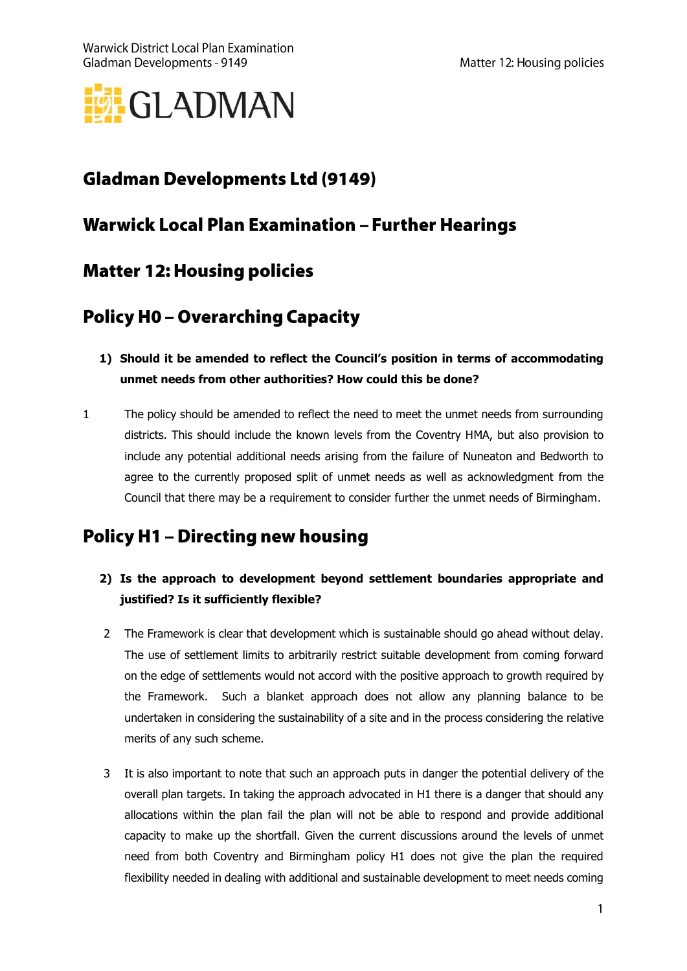

# **Gladman Developments Ltd (9149)**

### **Warwick Local Plan Examination - Further Hearings**

### **Matter 12: Housing policies**

## **Policy H0 - Overarching Capacity**

- **1) Should it be amended to reflect the Council's position in terms of accommodating unmet needs from other authorities? How could this be done?**
- 1 The policy should be amended to reflect the need to meet the unmet needs from surrounding districts. This should include the known levels from the Coventry HMA, but also provision to include any potential additional needs arising from the failure of Nuneaton and Bedworth to agree to the currently proposed split of unmet needs as well as acknowledgment from the Council that there may be a requirement to consider further the unmet needs of Birmingham.

## **Policy H1 - Directing new housing**

#### **2) Is the approach to development beyond settlement boundaries appropriate and justified? Is it sufficiently flexible?**

- 2 The Framework is clear that development which is sustainable should go ahead without delay. The use of settlement limits to arbitrarily restrict suitable development from coming forward on the edge of settlements would not accord with the positive approach to growth required by the Framework. Such a blanket approach does not allow any planning balance to be undertaken in considering the sustainability of a site and in the process considering the relative merits of any such scheme.
- 3 It is also important to note that such an approach puts in danger the potential delivery of the overall plan targets. In taking the approach advocated in H1 there is a danger that should any allocations within the plan fail the plan will not be able to respond and provide additional capacity to make up the shortfall. Given the current discussions around the levels of unmet need from both Coventry and Birmingham policy H1 does not give the plan the required flexibility needed in dealing with additional and sustainable development to meet needs coming